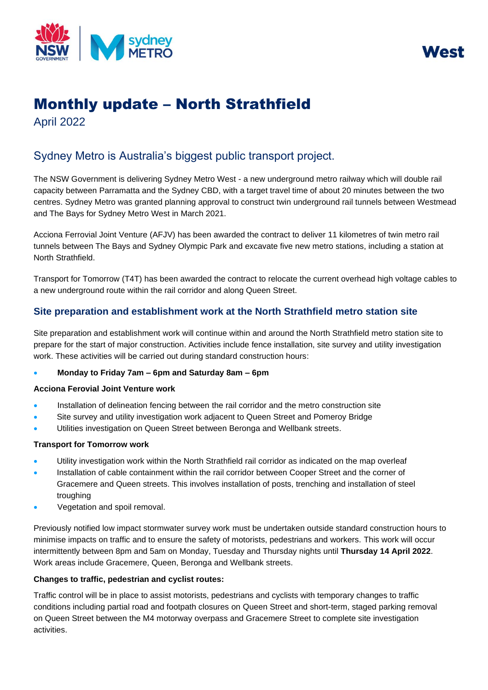



# Monthly update – North Strathfield

April 2022

## Sydney Metro is Australia's biggest public transport project.

The NSW Government is delivering Sydney Metro West - a new underground metro railway which will double rail capacity between Parramatta and the Sydney CBD, with a target travel time of about 20 minutes between the two centres. Sydney Metro was granted planning approval to construct twin underground rail tunnels between Westmead and The Bays for Sydney Metro West in March 2021.

Acciona Ferrovial Joint Venture (AFJV) has been awarded the contract to deliver 11 kilometres of twin metro rail tunnels between The Bays and Sydney Olympic Park and excavate five new metro stations, including a station at North Strathfield.

Transport for Tomorrow (T4T) has been awarded the contract to relocate the current overhead high voltage cables to a new underground route within the rail corridor and along Queen Street.

### **Site preparation and establishment work at the North Strathfield metro station site**

Site preparation and establishment work will continue within and around the North Strathfield metro station site to prepare for the start of major construction. Activities include fence installation, site survey and utility investigation work. These activities will be carried out during standard construction hours:

#### • **Monday to Friday 7am – 6pm and Saturday 8am – 6pm**

#### **Acciona Ferovial Joint Venture work**

- Installation of delineation fencing between the rail corridor and the metro construction site
- Site survey and utility investigation work adjacent to Queen Street and Pomeroy Bridge
- Utilities investigation on Queen Street between Beronga and Wellbank streets.

#### **Transport for Tomorrow work**

- Utility investigation work within the North Strathfield rail corridor as indicated on the map overleaf
- Installation of cable containment within the rail corridor between Cooper Street and the corner of Gracemere and Queen streets. This involves installation of posts, trenching and installation of steel troughing
- Vegetation and spoil removal.

Previously notified low impact stormwater survey work must be undertaken outside standard construction hours to minimise impacts on traffic and to ensure the safety of motorists, pedestrians and workers. This work will occur intermittently between 8pm and 5am on Monday, Tuesday and Thursday nights until **Thursday 14 April 2022**. Work areas include Gracemere, Queen, Beronga and Wellbank streets.

#### **Changes to traffic, pedestrian and cyclist routes:**

Traffic control will be in place to assist motorists, pedestrians and cyclists with temporary changes to traffic conditions including partial road and footpath closures on Queen Street and short-term, staged parking removal on Queen Street between the M4 motorway overpass and Gracemere Street to complete site investigation activities.